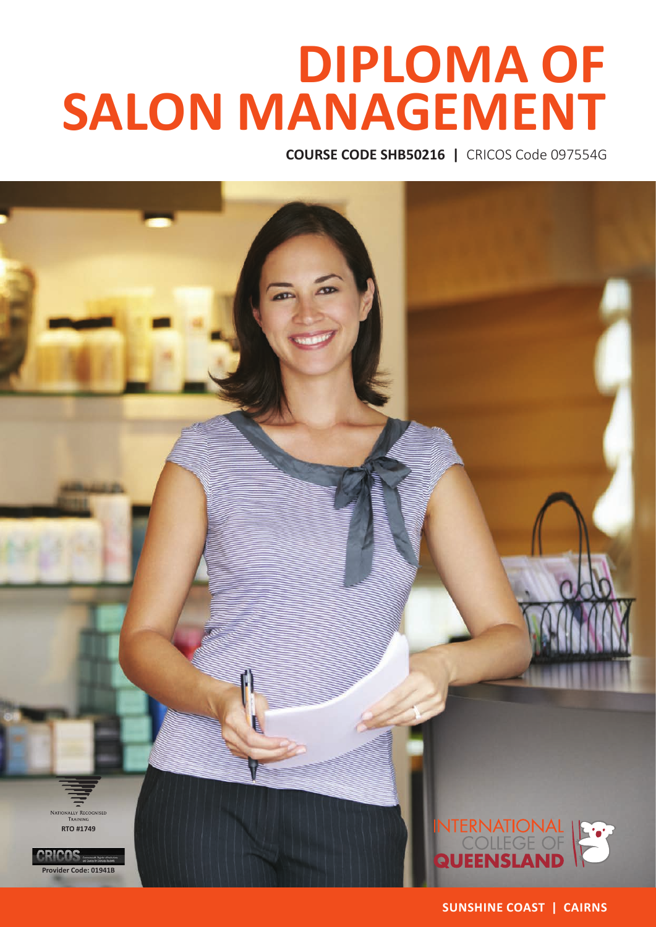# **DIPLOMA OF SALON MANAGEMENT**

**COURSE CODE SHB50216 |** CRICOS Code 097554G



**SUNSHINE COAST | CAIRNS**